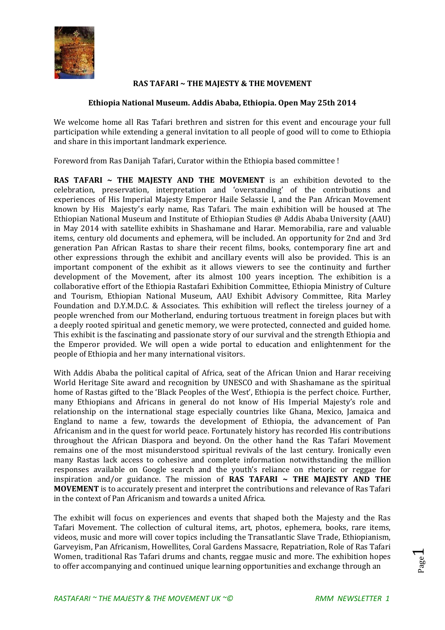

## **RAS TAFARI ~ THE MAJESTY & THE MOVEMENT**

## **Ethiopia National Museum. Addis Ababa, Ethiopia. Open May 25th 2014**

We welcome home all Ras Tafari brethren and sistren for this event and encourage your full participation while extending a general invitation to all people of good will to come to Ethiopia and share in this important landmark experience.

Foreword from Ras Danijah Tafari, Curator within the Ethiopia based committee !

**RAS TAFARI ~ THE MAJESTY AND THE MOVEMENT** is an exhibition devoted to the celebration, preservation, interpretation and 'overstanding' of the contributions and experiences of His Imperial Majesty Emperor Haile Selassie I, and the Pan African Movement known by His Majesty's early name, Ras Tafari. The main exhibition will be housed at The Ethiopian National Museum and Institute of Ethiopian Studies @ Addis Ababa University (AAU) in May 2014 with satellite exhibits in Shashamane and Harar. Memorabilia, rare and valuable items, century old documents and ephemera, will be included. An opportunity for 2nd and 3rd generation Pan African Rastas to share their recent films, books, contemporary fine art and other expressions through the exhibit and ancillary events will also be provided. This is an important component of the exhibit as it allows viewers to see the continuity and further development of the Movement, after its almost 100 years inception. The exhibition is a collaborative effort of the Ethiopia Rastafari Exhibition Committee, Ethiopia Ministry of Culture and Tourism, Ethiopian National Museum, AAU Exhibit Advisory Committee, Rita Marley Foundation and D.Y.M.D.C. & Associates. This exhibition will reflect the tireless journey of a people wrenched from our Motherland, enduring tortuous treatment in foreign places but with a deeply rooted spiritual and genetic memory, we were protected, connected and guided home. This exhibit is the fascinating and passionate story of our survival and the strength Ethiopia and the Emperor provided. We will open a wide portal to education and enlightenment for the people of Ethiopia and her many international visitors.

With Addis Ababa the political capital of Africa, seat of the African Union and Harar receiving World Heritage Site award and recognition by UNESCO and with Shashamane as the spiritual home of Rastas gifted to the 'Black Peoples of the West', Ethiopia is the perfect choice. Further, many Ethiopians and Africans in general do not know of His Imperial Majesty's role and relationship on the international stage especially countries like Ghana, Mexico, Jamaica and England to name a few, towards the development of Ethiopia, the advancement of Pan Africanism and in the quest for world peace. Fortunately history has recorded His contributions throughout the African Diaspora and beyond. On the other hand the Ras Tafari Movement remains one of the most misunderstood spiritual revivals of the last century. Ironically even many Rastas lack access to cohesive and complete information notwithstanding the million responses available on Google search and the youth's reliance on rhetoric or reggae for inspiration and/or guidance. The mission of **RAS TAFARI ~ THE MAJESTY AND THE MOVEMENT** is to accurately present and interpret the contributions and relevance of Ras Tafari in the context of Pan Africanism and towards a united Africa.

The exhibit will focus on experiences and events that shaped both the Majesty and the Ras Tafari Movement. The collection of cultural items, art, photos, ephemera, books, rare items, videos, music and more will cover topics including the Transatlantic Slave Trade, Ethiopianism, Garveyism, Pan Africanism, Howellites, Coral Gardens Massacre, Repatriation, Role of Ras Tafari Women, traditional Ras Tafari drums and chants, reggae music and more. The exhibition hopes to offer accompanying and continued unique learning opportunities and exchange through an